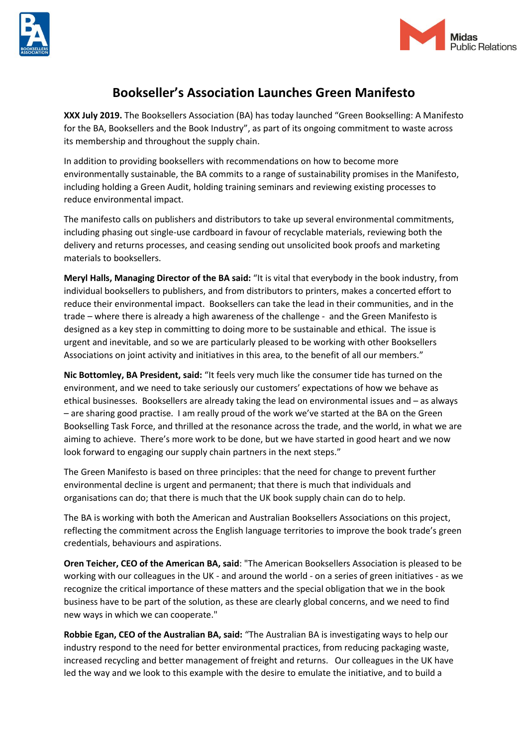



## **Bookseller's Association Launches Green Manifesto**

**XXX July 2019.** The Booksellers Association (BA) has today launched "Green Bookselling: A Manifesto for the BA, Booksellers and the Book Industry", as part of its ongoing commitment to waste across its membership and throughout the supply chain.

In addition to providing booksellers with recommendations on how to become more environmentally sustainable, the BA commits to a range of sustainability promises in the Manifesto, including holding a Green Audit, holding training seminars and reviewing existing processes to reduce environmental impact.

The manifesto calls on publishers and distributors to take up several environmental commitments, including phasing out single-use cardboard in favour of recyclable materials, reviewing both the delivery and returns processes, and ceasing sending out unsolicited book proofs and marketing materials to booksellers.

**Meryl Halls, Managing Director of the BA said:** "It is vital that everybody in the book industry, from individual booksellers to publishers, and from distributors to printers, makes a concerted effort to reduce their environmental impact. Booksellers can take the lead in their communities, and in the trade – where there is already a high awareness of the challenge - and the Green Manifesto is designed as a key step in committing to doing more to be sustainable and ethical. The issue is urgent and inevitable, and so we are particularly pleased to be working with other Booksellers Associations on joint activity and initiatives in this area, to the benefit of all our members."

**Nic Bottomley, BA President, said:** "It feels very much like the consumer tide has turned on the environment, and we need to take seriously our customers' expectations of how we behave as ethical businesses. Booksellers are already taking the lead on environmental issues and – as always – are sharing good practise. I am really proud of the work we've started at the BA on the Green Bookselling Task Force, and thrilled at the resonance across the trade, and the world, in what we are aiming to achieve. There's more work to be done, but we have started in good heart and we now look forward to engaging our supply chain partners in the next steps."

The Green Manifesto is based on three principles: that the need for change to prevent further environmental decline is urgent and permanent; that there is much that individuals and organisations can do; that there is much that the UK book supply chain can do to help.

The BA is working with both the American and Australian Booksellers Associations on this project, reflecting the commitment across the English language territories to improve the book trade's green credentials, behaviours and aspirations.

**Oren Teicher, CEO of the American BA, said**: "The American Booksellers Association is pleased to be working with our colleagues in the UK - and around the world - on a series of green initiatives - as we recognize the critical importance of these matters and the special obligation that we in the book business have to be part of the solution, as these are clearly global concerns, and we need to find new ways in which we can cooperate."

**Robbie Egan, CEO of the Australian BA, said:** "The Australian BA is investigating ways to help our industry respond to the need for better environmental practices, from reducing packaging waste, increased recycling and better management of freight and returns. Our colleagues in the UK have led the way and we look to this example with the desire to emulate the initiative, and to build a